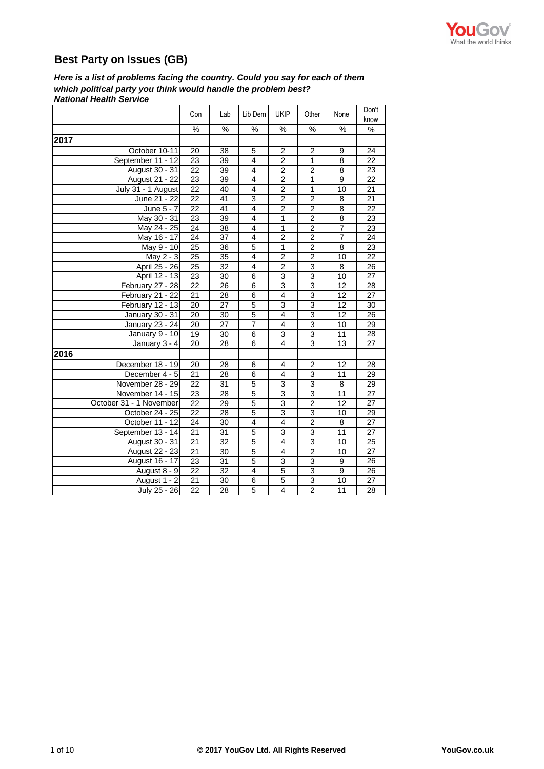

## **Best Party on Issues (GB)**

*National Health Service Here is a list of problems facing the country. Could you say for each of them which political party you think would handle the problem best?*

|                         | Con             | Lab             | Lib Dem                 | <b>UKIP</b>             | Other          | None           | Don't<br>know   |
|-------------------------|-----------------|-----------------|-------------------------|-------------------------|----------------|----------------|-----------------|
|                         | %               | $\%$            | $\%$                    | %                       | %              | %              | %               |
| 2017                    |                 |                 |                         |                         |                |                |                 |
| October 10-11           | 20              | 38              | 5                       | $\overline{c}$          | 2              | 9              | 24              |
| September 11 - 12       | 23              | 39              | $\overline{4}$          | $\overline{2}$          | $\mathbf{1}$   | 8              | 22              |
| August 30 - 31          | 22              | 39              | $\overline{4}$          | $\overline{2}$          | $\overline{2}$ | 8              | 23              |
| August 21 - 22          | 23              | 39              | $\overline{4}$          | $\overline{\mathbf{c}}$ | $\mathbf{1}$   | 9              | 22              |
| July 31 - 1 August      | 22              | 40              | $\overline{4}$          | $\overline{2}$          | $\mathbf{1}$   | 10             | 21              |
| June 21 - $22$          | 22              | 41              | 3                       | $\overline{2}$          | $\overline{c}$ | 8              | 21              |
| June 5 - 7              | 22              | 41              | $\overline{4}$          | $\overline{2}$          | $\overline{2}$ | 8              | $\overline{22}$ |
| May 30 - 31             | 23              | 39              | $\overline{\mathbf{4}}$ | $\mathbf{1}$            | $\overline{c}$ | 8              | 23              |
| May 24 - 25             | $\overline{24}$ | 38              | $\overline{4}$          | $\mathbf{1}$            | $\overline{2}$ | $\overline{7}$ | $\overline{23}$ |
| May 16 - 17             | 24              | 37              | 4                       | $\overline{c}$          | 2              | 7              | 24              |
| May 9 - 10              | 25              | 36              | $\overline{5}$          | $\mathbf{1}$            | $\overline{c}$ | 8              | 23              |
| May 2 - 3               | 25              | 35              | $\overline{4}$          | 2                       | $\overline{2}$ | 10             | 22              |
| April 25 - 26           | 25              | $\overline{32}$ | $\overline{4}$          | $\overline{2}$          | $\overline{3}$ | 8              | $\overline{26}$ |
| April 12 - 13           | 23              | 30              | 6                       | 3                       | $\overline{3}$ | 10             | 27              |
| February 27 - 28        | 22              | 26              | 6                       | $\overline{3}$          | $\overline{3}$ | 12             | $\overline{28}$ |
| February 21 - 22        | 21              | 28              | 6                       | 4                       | 3              | 12             | 27              |
| February $12 - 13$      | 20              | 27              | $\overline{5}$          | $\overline{3}$          | 3              | 12             | 30              |
| January 30 - 31         | 20              | 30              | $\overline{5}$          | 4                       | 3              | 12             | 26              |
| January 23 - 24         | 20              | 27              | $\overline{7}$          | 4                       | $\overline{3}$ | 10             | 29              |
| January 9 - 10          | 19              | 30              | 6                       | 3                       | 3              | 11             | 28              |
| January 3 - 4           | 20              | 28              | 6                       | 4                       | 3              | 13             | 27              |
| 2016                    |                 |                 |                         |                         |                |                |                 |
| December 18 - 19        | 20              | 28              | 6                       | 4                       | $\overline{2}$ | 12             | 28              |
| December 4 - 5          | 21              | 28              | 6                       | 4                       | 3              | 11             | 29              |
| November 28 - 29        | $\overline{22}$ | 31              | $\overline{5}$          | $\overline{3}$          | $\overline{3}$ | $\overline{8}$ | 29              |
| November 14 - 15        | 23              | 28              | 5                       | 3                       | 3              | 11             | 27              |
| October 31 - 1 November | 22              | 29              | 5                       | 3                       | $\overline{2}$ | 12             | 27              |
| October 24 - 25         | 22              | 28              | $\overline{5}$          | 3                       | $\overline{3}$ | 10             | 29              |
| October 11 - 12         | 24              | 30              | $\overline{\mathbf{4}}$ | 4                       | $\overline{2}$ | 8              | $\overline{27}$ |
| September 13 - 14       | 21              | 31              | 5                       | 3                       | 3              | 11             | 27              |
| August 30 - 31          | $\overline{21}$ | $\overline{32}$ | $\overline{5}$          | $\overline{4}$          | $\overline{3}$ | 10             | $\overline{25}$ |
| <b>August 22 - 23</b>   | 21              | 30              | 5                       | 4                       | $\overline{2}$ | 10             | 27              |
| August 16 - 17          | 23              | $\overline{31}$ | $\overline{5}$          | 3                       | 3              | 9              | 26              |
| August 8 - 9            | 22              | 32              | 4                       | 5                       | 3              | 9              | 26              |
| August 1 - 2            | 21              | 30              | 6                       | 5                       | $\overline{3}$ | 10             | 27              |
| July 25 - 26            | $\overline{22}$ | 28              | 5                       | $\overline{4}$          | $\overline{2}$ | 11             | 28              |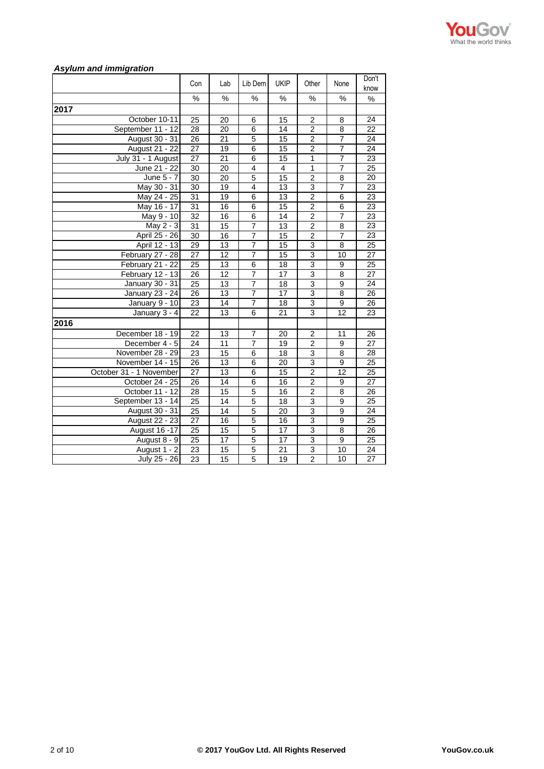

## *Asylum and immigration*

|                         | Con             | Lab             | Lib Dem        | <b>UKIP</b>     | Other                   | None            | Don't<br>know   |
|-------------------------|-----------------|-----------------|----------------|-----------------|-------------------------|-----------------|-----------------|
|                         | %               | %               | %              | %               | %                       | %               | %               |
| 2017                    |                 |                 |                |                 |                         |                 |                 |
| October 10-11           | 25              | 20              | 6              | 15              | 2                       | 8               | 24              |
| September 11 - 12       | $\overline{28}$ | 20              | $\overline{6}$ | $\overline{14}$ | $\overline{2}$          | 8               | $\overline{22}$ |
| August 30 - 31          | 26              | 21              | $\overline{5}$ | 15              | $\overline{c}$          | 7               | 24              |
| <b>August 21 - 22</b>   | 27              | 19              | 6              | 15              | $\overline{2}$          | $\overline{7}$  | $\overline{24}$ |
| July 31 - 1 August      | 27              | 21              | 6              | 15              | $\mathbf{1}$            | $\overline{7}$  | $\overline{23}$ |
| June 21 - 22            | 30              | 20              | 4              | $\overline{4}$  | $\mathbf{1}$            | $\overline{7}$  | 25              |
| $\overline{June} 5 - 7$ | 30              | 20              | $\overline{5}$ | 15              | $\overline{2}$          | 8               | 20              |
| May 30 - 31             | 30              | 19              | $\overline{4}$ | 13              | $\overline{3}$          | $\overline{7}$  | $\overline{23}$ |
| May 24 - 25             | 31              | 19              | $\overline{6}$ | 13              | $\overline{2}$          | $\overline{6}$  | 23              |
| May 16 - 17             | 31              | 16              | 6              | 15              | $\overline{2}$          | 6               | 23              |
| May 9 - 10              | $\overline{32}$ | 16              | 6              | $\overline{14}$ | $\overline{2}$          | $\overline{7}$  | 23              |
| May 2 - 3               | 31              | 15              | $\overline{7}$ | 13              | $\overline{\mathbf{c}}$ | 8               | 23              |
| April 25 - 26           | 30              | 16              | $\overline{7}$ | 15              | $\overline{2}$          | 7               | 23              |
| April 12 - 13           | 29              | 13              | 7              | 15              | 3                       | 8               | 25              |
| February 27 - 28        | 27              | $\overline{12}$ | $\overline{7}$ | $\overline{15}$ | 3                       | 10              | 27              |
| February 21 - 22        | 25              | 13              | $\overline{6}$ | 18              | 3                       | $\overline{9}$  | 25              |
| February 12 - 13        | 26              | 12              | $\overline{7}$ | 17              | $\overline{3}$          | 8               | 27              |
| <b>January 30 - 31</b>  | 25              | 13              | $\overline{7}$ | 18              | $\overline{3}$          | 9               | 24              |
| January 23 - 24         | 26              | 13              | $\overline{7}$ | 17              | $\overline{3}$          | 8               | 26              |
| January 9 - 10          | $\overline{23}$ | 14              | 7              | 18              | 3                       | 9               | $\overline{26}$ |
| January 3 - 4           | $\overline{22}$ | 13              | $\overline{6}$ | $\overline{21}$ | 3                       | $\overline{12}$ | 23              |
| 2016                    |                 |                 |                |                 |                         |                 |                 |
| December 18 - 19        | 22              | 13              | 7              | 20              | $\overline{2}$          | 11              | 26              |
| December 4 - 5          | 24              | 11              | $\overline{7}$ | 19              | $\overline{2}$          | 9               | $\overline{27}$ |
| November 28 - 29        | $\overline{23}$ | 15              | 6              | $\overline{18}$ | 3                       | 8               | $\overline{28}$ |
| November 14 - 15        | 26              | 13              | 6              | 20              | 3                       | 9               | 25              |
| October 31 - 1 November | 27              | 13              | 6              | 15              | $\overline{2}$          | 12              | 25              |
| October 24 - 25         | $\overline{26}$ | 14              | $\overline{6}$ | 16              | $\overline{2}$          | 9               | 27              |
| October 11 - 12         | 28              | 15              | $\overline{5}$ | 16              | $\overline{2}$          | 8               | 26              |
| September 13 - 14       | 25              | 14              | $\overline{5}$ | 18              | 3                       | 9               | 25              |
| August 30 - 31          | $\overline{25}$ | 14              | $\overline{5}$ | 20              | $\overline{3}$          | 9               | 24              |
| <b>August 22 - 23</b>   | $\overline{27}$ | 16              | $\overline{5}$ | $\overline{16}$ | $\overline{3}$          | 9               | $\overline{25}$ |
| <b>August 16 -17</b>    | 25              | 15              | $\overline{5}$ | 17              | 3                       | 8               | 26              |
| August 8 - 9            | 25              | $\overline{17}$ | $\overline{5}$ | $\overline{17}$ | $\overline{3}$          | 9               | $\overline{25}$ |
| August 1 - 2            | $\overline{23}$ | 15              | 5              | $\overline{21}$ | 3                       | 10              | 24              |
| July 25 - 26            | $\overline{23}$ | $\overline{15}$ | 5              | 19              | $\overline{2}$          | 10              | 27              |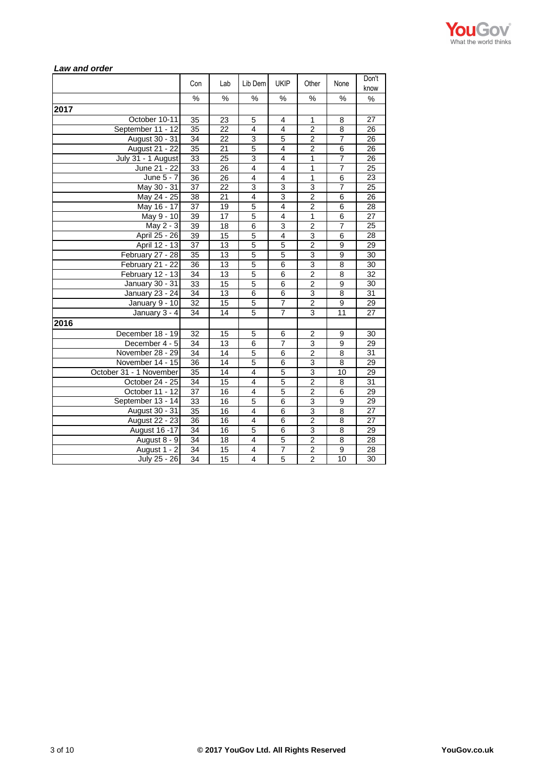

| Law and vider           |                 |                 |                |                |                         |                 |                 |
|-------------------------|-----------------|-----------------|----------------|----------------|-------------------------|-----------------|-----------------|
|                         | Con             | Lab             | Lib Dem        | <b>UKIP</b>    | Other                   | None            | Don't<br>know   |
|                         | %               | $\%$            | %              | %              | %                       | %               | $\%$            |
| 2017                    |                 |                 |                |                |                         |                 |                 |
| October 10-11           | 35              | 23              | 5              | 4              | 1                       | 8               | 27              |
| September 11 - 12       | 35              | 22              | 4              | 4              | $\overline{c}$          | 8               | 26              |
| August 30 - 31          | 34              | 22              | $\overline{3}$ | 5              | $\overline{2}$          | 7               | 26              |
| August 21 - 22          | 35              | 21              | 5              | 4              | $\overline{2}$          | 6               | 26              |
| July 31 - 1 August      | 33              | 25              | 3              | 4              | 1                       | $\overline{7}$  | 26              |
| June 21 - 22            | 33              | 26              | 4              | $\overline{4}$ | $\mathbf{1}$            | $\overline{7}$  | $\overline{25}$ |
| June 5 - 7              | 36              | $\overline{2}6$ | 4              | $\overline{4}$ | $\mathbf{1}$            | 6               | 23              |
| May 30 - 31             | 37              | 22              | 3              | $\overline{3}$ | 3                       | 7               | 25              |
| May 24 - 25             | 38              | 21              | 4              | 3              | $\overline{2}$          | 6               | 26              |
| May 16 - 17             | 37              | 19              | 5              | $\overline{4}$ | $\overline{2}$          | 6               | 28              |
| May 9 - 10              | 39              | 17              | 5              | $\overline{4}$ | 1                       | 6               | 27              |
| May 2 - 3               | 39              | 18              | 6              | 3              | $\overline{2}$          | $\overline{7}$  | 25              |
| April 25 - 26           | 39              | 15              | 5              | $\overline{4}$ | 3                       | 6               | 28              |
| April 12 - 13           | 37              | 13              | 5              | 5              | $\overline{\mathbf{c}}$ | 9               | 29              |
| February 27 - 28        | 35              | 13              | $\overline{5}$ | 5              | $\overline{3}$          | $\overline{9}$  | 30              |
| February 21 - 22        | 36              | 13              | $\overline{5}$ | 6              | 3                       | 8               | 30              |
| February 12 - 13        | 34              | 13              | $\overline{5}$ | $\overline{6}$ | $\overline{2}$          | 8               | 32              |
| January 30 - 31         | 33              | 15              | 5              | 6              | $\overline{2}$          | 9               | 30              |
| January 23 - 24         | 34              | 13              | 6              | 6              | 3                       | 8               | 31              |
| January 9 - 10          | 32              | 15              | $\overline{5}$ | $\overline{7}$ | $\overline{\mathbf{c}}$ | 9               | 29              |
| January 3 - 4           | 34              | 14              | 5              | $\overline{7}$ | 3                       | $\overline{11}$ | 27              |
| 2016                    |                 |                 |                |                |                         |                 |                 |
| December 18 - 19        | 32              | 15              | 5              | 6              | $\overline{2}$          | 9               | 30              |
| December 4 - 5          | 34              | 13              | $\overline{6}$ | 7              | 3                       | 9               | 29              |
| November 28 - 29        | 34              | 14              | 5              | 6              | $\overline{2}$          | 8               | 31              |
| November 14 - 15        | 36              | 14              | 5              | 6              | 3                       | 8               | 29              |
| October 31 - 1 November | 35              | 14              | 4              | 5              | 3                       | 10              | 29              |
| October 24 - 25         | 34              | 15              | 4              | $\overline{5}$ | $\overline{\mathbf{c}}$ | 8               | 31              |
| October 11 - 12         | $\overline{37}$ | 16              | 4              | $\overline{5}$ | $\overline{2}$          | 6               | 29              |
| September 13 - 14       | 33              | 16              | 5              | 6              | 3                       | 9               | 29              |
| August 30 - 31          | 35              | 16              | 4              | 6              | $\overline{3}$          | 8               | 27              |
| <b>August 22 - 23</b>   | 36              | 16              | 4              | $\overline{6}$ | $\overline{2}$          | 8               | 27              |
| <b>August 16 -17</b>    | $\overline{34}$ | 16              | 5              | $\overline{6}$ | 3                       | $\overline{8}$  | 29              |
| August 8 - 9            | 34              | 18              | 4              | 5              | $\overline{c}$          | 8               | 28              |
| August 1 - 2            | 34              | 15              | 4              | $\overline{7}$ | $\overline{\mathbf{c}}$ | 9               | 28              |
| July 25 - 26            | 34              | 15              | 4              | 5              | $\overline{2}$          | 10              | 30              |

# *Law and order*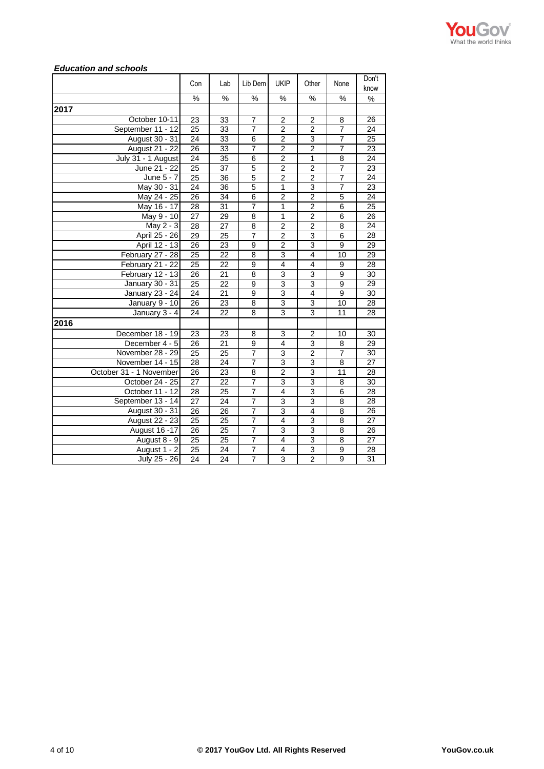

## *Education and schools*

|                         | Con             | Lab             | Lib Dem        | <b>UKIP</b>             | Other                   | None           | Don't<br>know   |
|-------------------------|-----------------|-----------------|----------------|-------------------------|-------------------------|----------------|-----------------|
|                         | %               | $\%$            | %              | $\%$                    | %                       | %              | %               |
| 2017                    |                 |                 |                |                         |                         |                |                 |
| October 10-11           | 23              | 33              | $\overline{7}$ | $\overline{2}$          | $\overline{\mathbf{c}}$ | 8              | 26              |
| September 11 - 12       | $\overline{25}$ | $\overline{33}$ | 7              | $\overline{2}$          | $\overline{2}$          | $\overline{7}$ | 24              |
| August 30 - 31          | 24              | 33              | $\overline{6}$ | $\overline{2}$          | $\overline{3}$          | $\overline{7}$ | 25              |
| <b>August 21 - 22</b>   | 26              | 33              | $\overline{7}$ | $\overline{2}$          | $\overline{\mathbf{c}}$ | $\overline{7}$ | 23              |
| July 31 - 1 August      | 24              | 35              | 6              | $\overline{2}$          | $\mathbf{1}$            | 8              | $\overline{24}$ |
| June 21 - 22            | 25              | 37              | 5              | $\overline{\mathbf{c}}$ | 2                       | 7              | 23              |
| $\overline{June} 5 - 7$ | 25              | 36              | $\overline{5}$ | $\overline{2}$          | $\overline{2}$          | $\overline{7}$ | 24              |
| May 30 - 31             | $\overline{24}$ | 36              | 5              | 1                       | $\overline{3}$          | 7              | 23              |
| May 24 - 25             | 26              | 34              | $\overline{6}$ | $\overline{2}$          | $\overline{2}$          | 5              | 24              |
| May 16 - 17             | 28              | 31              | 7              | $\overline{1}$          | $\overline{2}$          | 6              | 25              |
| May 9 - 10              | 27              | 29              | 8              | $\mathbf{1}$            | $\boldsymbol{2}$        | 6              | 26              |
| May 2 - 3               | 28              | 27              | 8              | $\overline{2}$          | $\overline{c}$          | 8              | 24              |
| April 25 - 26           | 29              | 25              | 7              | $\overline{2}$          | 3                       | 6              | 28              |
| April 12 - 13           | $\overline{26}$ | 23              | 9              | $\overline{2}$          | $\overline{3}$          | 9              | 29              |
| February 27 - 28        | $\overline{25}$ | 22              | $\overline{8}$ | 3                       | $\overline{\mathbf{4}}$ | 10             | 29              |
| February 21 - 22        | 25              | 22              | $\overline{9}$ | $\overline{4}$          | 4                       | $\overline{9}$ | 28              |
| February 12 - 13        | 26              | 21              | 8              | 3                       | 3                       | 9              | 30              |
| January 30 - 31         | 25              | 22              | 9              | 3                       | 3                       | 9              | 29              |
| January 23 - 24         | 24              | 21              | $\overline{9}$ | 3                       | $\overline{4}$          | 9              | $\overline{30}$ |
| January 9 - 10          | 26              | 23              | 8              | 3                       | 3                       | 10             | 28              |
| January 3 - 4           | 24              | 22              | $\overline{8}$ | 3                       | 3                       | 11             | 28              |
| 2016                    |                 |                 |                |                         |                         |                |                 |
| December 18 - 19        | 23              | 23              | 8              | 3                       | 2                       | 10             | 30              |
| December 4 - 5          | 26              | 21              | 9              | 4                       | 3                       | 8              | 29              |
| November 28 - 29        | 25              | 25              | $\overline{7}$ | 3                       | $\overline{2}$          | $\overline{7}$ | 30              |
| November 14 - 15        | 28              | 24              | 7              | 3                       | 3                       | 8              | 27              |
| October 31 - 1 November | 26              | 23              | 8              | $\overline{\mathbf{c}}$ | 3                       | 11             | 28              |
| October 24 - 25         | $\overline{27}$ | 22              | $\overline{7}$ | 3                       | 3                       | $\overline{8}$ | 30              |
| October 11 - 12         | 28              | 25              | 7              | $\overline{4}$          | 3                       | $\overline{6}$ | 28              |
| September 13 - 14       | 27              | 24              | $\overline{7}$ | 3                       | 3                       | 8              | 28              |
| August 30 - 31          | $\overline{26}$ | 26              | $\overline{7}$ | 3                       | 4                       | 8              | $\overline{26}$ |
| <b>August 22 - 23</b>   | $\overline{25}$ | 25              | 7              | 4                       | $\overline{3}$          | 8              | $\overline{27}$ |
| August 16 -17           | 26              | 25              | 7              | 3                       | 3                       | 8              | 26              |
| August 8 - 9            | $\overline{25}$ | 25              | 7              | $\overline{4}$          | 3                       | 8              | 27              |
| August 1 - 2            | $\overline{25}$ | 24              | 7              | 4                       | 3                       | $\overline{9}$ | 28              |
| July 25 - 26            | 24              | 24              | $\overline{7}$ | 3                       | $\overline{2}$          | $\overline{9}$ | 31              |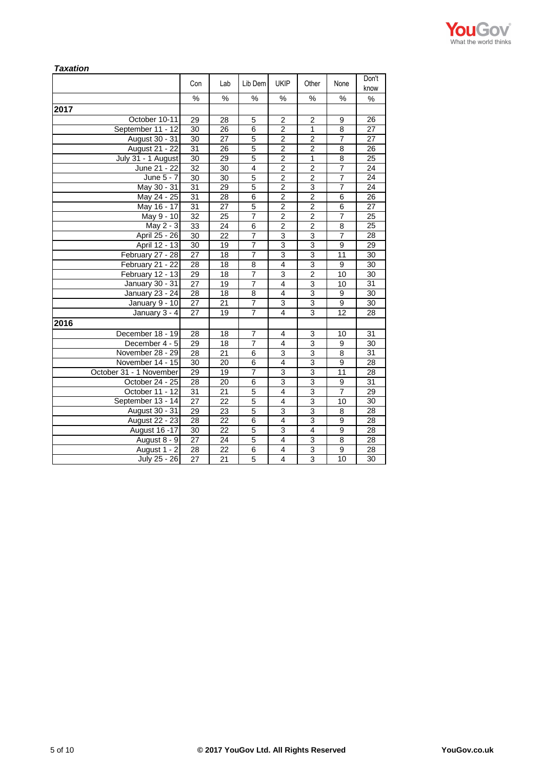

| <b>Taxation</b>         |                 |                 |                |                |                |                 |                 |
|-------------------------|-----------------|-----------------|----------------|----------------|----------------|-----------------|-----------------|
|                         | Con             | Lab             | Lib Dem        | <b>UKIP</b>    | Other          | None            | Don't<br>know   |
|                         | %               | $\%$            | $\%$           | ℅              | %              | %               | %               |
| 2017                    |                 |                 |                |                |                |                 |                 |
| October 10-11           | 29              | 28              | 5              | $\overline{2}$ | $\overline{2}$ | 9               | 26              |
| September 11 - 12       | 30              | 26              | 6              | $\overline{2}$ | 1              | 8               | 27              |
| August 30 - 31          | 30              | 27              | 5              | $\overline{2}$ | $\overline{2}$ | $\overline{7}$  | 27              |
| <b>August 21 - 22</b>   | 31              | 26              | 5              | $\overline{c}$ | $\overline{c}$ | 8               | 26              |
| July 31 - 1 August      | 30              | 29              | 5              | $\overline{2}$ | 1              | 8               | 25              |
| June 21 - 22            | 32              | 30              | 4              | $\overline{2}$ | $\overline{2}$ | $\overline{7}$  | 24              |
| June 5 - 7              | 30              | 30              | 5              | $\overline{2}$ | $\overline{2}$ | $\overline{7}$  | 24              |
| May 30 - 31             | 31              | 29              | 5              | $\overline{c}$ | 3              | 7               | 24              |
| May 24 - 25             | 31              | 28              | 6              | $\overline{2}$ | $\overline{2}$ | 6               | 26              |
| May 16 - 17             | 31              | 27              | 5              | $\overline{2}$ | $\overline{2}$ | 6               | 27              |
| May 9 - 10              | $\overline{32}$ | 25              | $\overline{7}$ | $\overline{2}$ | $\overline{2}$ | $\overline{7}$  | 25              |
| May 2 - 3               | 33              | 24              | 6              | $\overline{2}$ | $\overline{2}$ | 8               | 25              |
| April 25 - 26           | 30              | 22              | $\overline{7}$ | 3              | 3              | $\overline{7}$  | 28              |
| April 12 - 13           | 30              | 19              | 7              | 3              | 3              | 9               | 29              |
| February 27 - 28        | $\overline{27}$ | 18              | 7              | 3              | 3              | $\overline{11}$ | $\overline{30}$ |
| February 21 - 22        | 28              | 18              | 8              | 4              | 3              | 9               | 30              |
| February 12 - 13        | 29              | 18              | $\overline{7}$ | 3              | $\overline{2}$ | 10              | 30              |
| January 30 - 31         | 27              | 19              | 7              | 4              | 3              | 10              | 31              |
| January 23 - 24         | $\overline{28}$ | 18              | 8              | 4              | 3              | 9               | 30              |
| January 9 - 10          | 27              | 21              | $\overline{7}$ | 3              | 3              | 9               | 30              |
| January 3 - 4           | $\overline{27}$ | 19              | $\overline{7}$ | 4              | 3              | $\overline{12}$ | 28              |
| 2016                    |                 |                 |                |                |                |                 |                 |
| December 18 - 19        | 28              | 18              | $\overline{7}$ | 4              | 3              | 10              | 31              |
| December 4 - 5          | 29              | 18              | $\overline{7}$ | 4              | 3              | 9               | 30              |
| November 28 - 29        | 28              | 21              | 6              | 3              | 3              | 8               | 31              |
| November 14 - 15        | 30              | 20              | $\overline{6}$ | $\overline{4}$ | $\overline{3}$ | $\overline{9}$  | 28              |
| October 31 - 1 November | 29              | 19              | 7              | 3              | 3              | 11              | 28              |
| October 24 - 25         | $\overline{28}$ | $\overline{20}$ | 6              | $\overline{3}$ | 3              | $\overline{9}$  | $\overline{31}$ |
| October 11 - 12         | 31              | 21              | 5              | 4              | 3              | $\overline{7}$  | 29              |
| September 13 - 14       | 27              | 22              | 5              | 4              | 3              | 10              | 30              |
| August 30 - 31          | 29              | 23              | 5              | 3              | 3              | 8               | 28              |
| <b>August 22 - 23</b>   | 28              | 22              | $\overline{6}$ | 4              | 3              | 9               | 28              |
| August 16 - 17          | 30              | 22              | 5              | 3              | $\overline{4}$ | 9               | 28              |
| August 8 - 9            | $\overline{27}$ | 24              | $\overline{5}$ | 4              | 3              | 8               | 28              |
| August 1 - 2            | 28              | 22              | 6              | 4              | 3              | 9               | 28              |
| July 25 - 26            | 27              | 21              | 5              | 4              | 3              | 10              | 30              |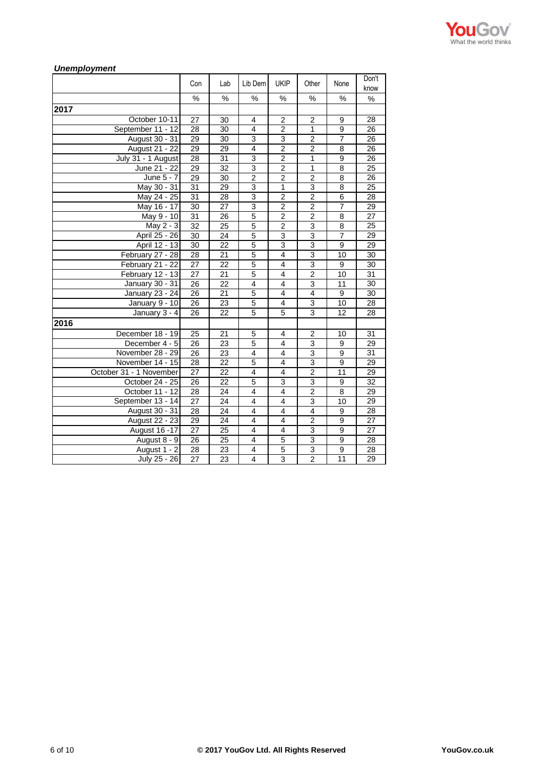

#### *Unemployment* Con Lab Lib Dem UKIP Other None Don't know % % % % % % % **2017** 0ctober 10-11 27 30 4 2 2 9 28<br>tember 11 - 12 28 30 4 2 1 9 26 September 11 - 12 28 30 4 2 1 9 26<br>August 30 - 31 29 30 3 3 3 2 7 26 August 30 - 31 29 30 3 3 3 2 7 August 21 - 22 29 29 4 2 2 2 8 26<br>
v 31 - 1 August 28 31 3 2 1 9 26 July 31 - 1 August 28 31 3 2 1 9 26<br>June 21 - 22 29 32 3 2 1 8 25 June 21 - 22 29 32 3 2 1 8 25<br>June 5 - 7 29 30 2 2 2 8 26 June 5 - 7 29 30 2 2 2 2 8 26<br>Aav 30 - 31 31 29 3 1 3 8 25 May 30 - 31 31 29 3 1 May 24 - 25 31 28 3 3 2 2 6 28 May 16 - 17 30 27 3 2 2 7 29<br>May 9 - 10 31 26 5 2 2 8 27 May 9 - 10 31 26 5 2 2 8 27<br>May 2 - 3 32 25 5 2 3 8 25 May 2 - 3  $32$  25 5 2 3 April 25 - 26 30 24 5 3 3 7 29<br>April 12 - 13 30 22 5 3 3 3 9 29 April 12 - 13 30 22 5 3 3 9 29<br>
Tuary 27 - 28 28 21 5 4 3 10 30 February 27 - 28 28 21 5 4 3 10 30<br>February 21 - 22 27 22 5 4 3 9 30 February 21 - 22 February 12 - 13 27 21 5 4 2 10 31 January 30 - 31 26 22 4 4 3 11 30 January 23 - 24 26 21 5 4 4 9 30 January 9 - 10 26 23 5 4 3 10 28 January 3 - 4 26 22 5 5 3 3 12 28 **2016** December 18 - 19 25 | 21 | 5 | 4 | 2 | 10 | 31 December 4 - 5 26 23 5 4 3 9 29 November 28 - 29 26 23 4 4 3 9 31<br>November 14 - 15 28 22 5 4 3 9 29 November 14 - 15 28 22 5 4 3 October 31 - 1 November 27 22 4 4 4 2 11 29 October 24 - 25 26 22 5 3 3 3 9 32 October 11 - 12 28 24 4 4 4 2 8 29 September 13 - 14 27 24 4 4 3 10 29 August 30 - 31 28 24 4 4 4 4 9 28 August 22 - 23 29 24 4 4 4 2 9 27 August 16 -17 27 25 4 4 3 9 27<br>August 8 - 9 26 25 4 5 3 9 28 August 8 - 9 26 25 4 5 3 3 9 28 August 1 - 2 28 23 4 5 3 3 9 28 July 25 - 26 27 23 4 3 2 2 11 29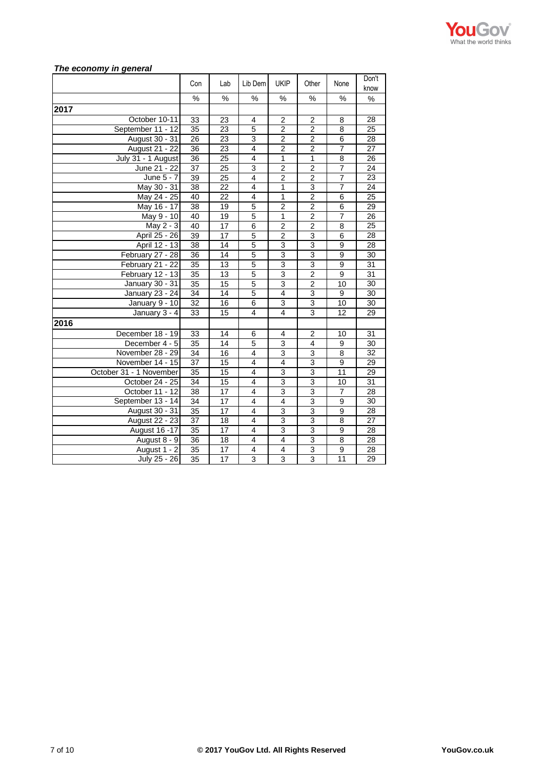

## *The economy in general*

|                         | Con             | Lab             | Lib Dem                 | <b>UKIP</b>             | Other                   | None            | Don't<br>know   |
|-------------------------|-----------------|-----------------|-------------------------|-------------------------|-------------------------|-----------------|-----------------|
|                         | $\frac{1}{2}$   | $\frac{0}{0}$   | $\frac{0}{0}$           | $\frac{0}{0}$           | $\frac{1}{2}$           | $\frac{0}{0}$   | %               |
| 2017                    |                 |                 |                         |                         |                         |                 |                 |
| October 10-11           | 33              | 23              | 4                       | $\overline{\mathbf{c}}$ | 2                       | 8               | 28              |
| September 11 - 12       | $\overline{35}$ | 23              | 5                       | $\overline{2}$          | $\overline{2}$          | 8               | $\overline{25}$ |
| August 30 - 31          | 26              | 23              | 3                       | $\overline{2}$          | 2                       | 6               | 28              |
| August 21 - 22          | 36              | 23              | $\overline{4}$          | $\overline{2}$          | $\overline{2}$          | 7               | $\overline{27}$ |
| July 31 - 1 August      | $\overline{36}$ | $\overline{25}$ | $\overline{\mathbf{4}}$ | $\mathbf{1}$            | $\mathbf{1}$            | 8               | 26              |
| June 21 - 22            | 37              | 25              | 3                       | $\overline{2}$          | 2                       | $\overline{7}$  | 24              |
| $\overline{June 5}$ - 7 | $\overline{39}$ | 25              | $\overline{4}$          | $\overline{2}$          | $\overline{2}$          | $\overline{7}$  | $\overline{23}$ |
| May 30 - 31             | 38              | 22              | $\overline{4}$          | $\mathbf{1}$            | 3                       | $\overline{7}$  | $\overline{24}$ |
| May 24 - 25             | 40              | 22              | 4                       | $\overline{1}$          | $\overline{2}$          | 6               | $\overline{25}$ |
| May 16 - 17             | 38              | 19              | $\overline{5}$          | $\overline{2}$          | $\overline{2}$          | $\overline{6}$  | 29              |
| May 9 - 10              | 40              | 19              | $\overline{5}$          | $\mathbf{1}$            | $\overline{2}$          | $\overline{7}$  | 26              |
| May 2 - 3               | 40              | 17              | 6                       | $\overline{c}$          | $\overline{\mathbf{c}}$ | 8               | 25              |
| April 25 - 26           | 39              | 17              | 5                       | $\overline{2}$          | 3                       | 6               | 28              |
| April 12 - 13           | 38              | 14              | 5                       | $\overline{3}$          | 3                       | $\overline{9}$  | 28              |
| February 27 - 28        | 36              | 14              | $\overline{5}$          | $\overline{3}$          | 3                       | $\overline{9}$  | 30              |
| February 21 - 22        | $\overline{35}$ | 13              | $\overline{5}$          | $\overline{3}$          | $\overline{3}$          | $\overline{9}$  | 31              |
| February 12 - 13        | $\overline{35}$ | 13              | $\overline{5}$          | $\overline{3}$          | $\overline{2}$          | 9               | $\overline{31}$ |
| January 30 - 31         | 35              | 15              | 5                       | 3                       | $\overline{\mathbf{c}}$ | 10              | 30              |
| January 23 - 24         | 34              | 14              | $\overline{5}$          | 4                       | 3                       | 9               | 30              |
| January 9 - 10          | 32              | 16              | $\overline{6}$          | 3                       | 3                       | 10              | 30              |
| January 3 - 4           | 33              | 15              | $\overline{4}$          | 4                       | $\overline{3}$          | 12              | 29              |
| 2016                    |                 |                 |                         |                         |                         |                 |                 |
| December 18 - 19        | 33              | 14              | 6                       | $\overline{4}$          | $\overline{2}$          | 10              | 31              |
| December 4 - 5          | 35              | 14              | 5                       | 3                       | 4                       | 9               | 30              |
| November 28 - 29        | 34              | 16              | $\overline{4}$          | $\overline{3}$          | 3                       | 8               | 32              |
| November 14 - 15        | 37              | 15              | $\overline{4}$          | $\overline{4}$          | 3                       | 9               | 29              |
| October 31 - 1 November | 35              | 15              | 4                       | 3                       | 3                       | 11              | 29              |
| October 24 - 25         | 34              | 15              | 4                       | 3                       | 3                       | 10              | $\overline{31}$ |
| October 11 - 12         | 38              | $\overline{17}$ | $\overline{4}$          | 3                       | 3                       | $\overline{7}$  | 28              |
| September 13 - 14       | 34              | 17              | $\overline{\mathbf{4}}$ | $\overline{4}$          | $\overline{3}$          | 9               | 30              |
| August 30 - 31          | $\overline{35}$ | 17              | $\overline{4}$          | $\overline{3}$          | $\overline{3}$          | 9               | 28              |
| <b>August 22 - 23</b>   | $\overline{37}$ | 18              | $\overline{4}$          | $\overline{3}$          | $\overline{3}$          | $\overline{8}$  | $\overline{27}$ |
| <b>August 16 -17</b>    | 35              | 17              | 4                       | 3                       | 3                       | 9               | 28              |
| August 8 - 9            | 36              | 18              | $\overline{4}$          | $\overline{4}$          | $\overline{3}$          | 8               | 28              |
| August 1 - 2            | $\overline{35}$ | 17              | $\overline{4}$          | $\overline{4}$          | 3                       | $\overline{9}$  | 28              |
| July 25 - 26            | $\overline{35}$ | 17              | $\overline{3}$          | $\overline{3}$          | $\overline{3}$          | $\overline{11}$ | 29              |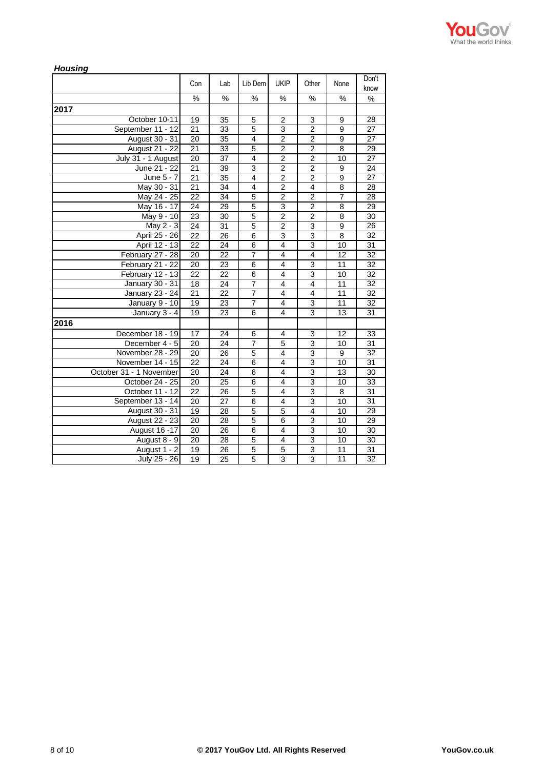

| <b>Housing</b>          |      |                 |                         |                |                         |                 |                 |
|-------------------------|------|-----------------|-------------------------|----------------|-------------------------|-----------------|-----------------|
|                         | Con  | Lab             | Lib Dem                 | <b>UKIP</b>    | Other                   | None            | Don't<br>know   |
|                         | $\%$ | $\frac{0}{0}$   | %                       | %              | %                       | %               | %               |
| 2017                    |      |                 |                         |                |                         |                 |                 |
| October 10-11           | 19   | 35              | 5                       | $\overline{2}$ | 3                       | 9               | 28              |
| September 11 - 12       | 21   | 33              | $\overline{5}$          | 3              | $\overline{2}$          | 9               | 27              |
| August 30 - 31          | 20   | 35              | $\overline{4}$          | $\overline{2}$ | $\overline{2}$          | 9               | 27              |
| <b>August 21 - 22</b>   | 21   | 33              | 5                       | 2              | $\overline{2}$          | 8               | 29              |
| July 31 - 1 August      | 20   | 37              | $\overline{\mathbf{4}}$ | $\overline{2}$ | $\overline{2}$          | 10              | $\overline{27}$ |
| June 21 - 22            | 21   | 39              | 3                       | $\overline{2}$ | $\overline{2}$          | 9               | 24              |
| June $5 - 7$            | 21   | 35              | $\overline{4}$          | $\overline{2}$ | $\overline{2}$          | 9               | $\overline{27}$ |
| May 30 - 31             | 21   | 34              | $\overline{4}$          | $\overline{2}$ | 4                       | 8               | 28              |
| May 24 - 25             | 22   | 34              | 5                       | $\overline{2}$ | $\overline{c}$          | $\overline{7}$  | 28              |
| May 16 - 17             | 24   | 29              | 5                       | 3              | $\overline{2}$          | 8               | 29              |
| May 9 - 10              | 23   | 30              | $\overline{5}$          | $\overline{2}$ | $\overline{2}$          | 8               | 30              |
| May 2 - 3               | 24   | 31              | 5                       | $\overline{2}$ | 3                       | 9               | 26              |
| April 25 - 26           | 22   | 26              | 6                       | $\overline{3}$ | $\overline{3}$          | 8               | 32              |
| April 12 - 13           | 22   | 24              | 6                       | 4              | 3                       | 10              | 31              |
| February 27 - 28        | 20   | 22              | $\overline{7}$          | 4              | 4                       | 12              | 32              |
| February 21 - 22        | 20   | 23              | 6                       | 4              | 3                       | 11              | 32              |
| February 12 - 13        | 22   | 22              | 6                       | 4              | 3                       | 10              | 32              |
| January 30 - 31         | 18   | 24              | $\overline{7}$          | 4              | 4                       | 11              | 32              |
| January 23 - 24         | 21   | 22              | 7                       | 4              | 4                       | 11              | 32              |
| January $9 - 10$        | 19   | $\overline{23}$ | 7                       | $\overline{4}$ | 3                       | $\overline{11}$ | $\overline{32}$ |
| January 3 - 4           | 19   | 23              | 6                       | 4              | 3                       | 13              | 31              |
| 2016                    |      |                 |                         |                |                         |                 |                 |
| December 18 - 19        | 17   | 24              | 6                       | 4              | 3                       | 12              | 33              |
| December 4 - 5          | 20   | 24              | $\overline{7}$          | 5              | 3                       | 10              | 31              |
| November 28 - 29        | 20   | 26              | 5                       | 4              | 3                       | 9               | 32              |
| November 14 - 15        | 22   | 24              | 6                       | 4              | 3                       | 10              | 31              |
| October 31 - 1 November | 20   | 24              | 6                       | 4              | 3                       | 13              | 30              |
| October 24 - 25         | 20   | 25              | 6                       | 4              | 3                       | 10              | 33              |
| October 11 - 12         | 22   | 26              | $\overline{5}$          | 4              | 3                       | 8               | 31              |
| September 13 - 14       | 20   | 27              | 6                       | 4              | 3                       | 10              | 31              |
| August 30 - 31          | 19   | 28              | 5                       | 5              | $\overline{\mathbf{4}}$ | 10              | 29              |
| August 22 - 23          | 20   | 28              | 5                       | 6              | 3                       | 10              | 29              |
| August 16 - 17          | 20   | 26              | 6                       | 4              | $\overline{3}$          | 10              | 30              |
| August 8 - 9            | 20   | 28              | 5                       | 4              | 3                       | 10              | 30              |
| August 1 - 2            | 19   | 26              | $\overline{5}$          | 5              | 3                       | 11              | 31              |
| July 25 - 26            | 19   | 25              | $\overline{5}$          | 3              | 3                       | 11              | 32              |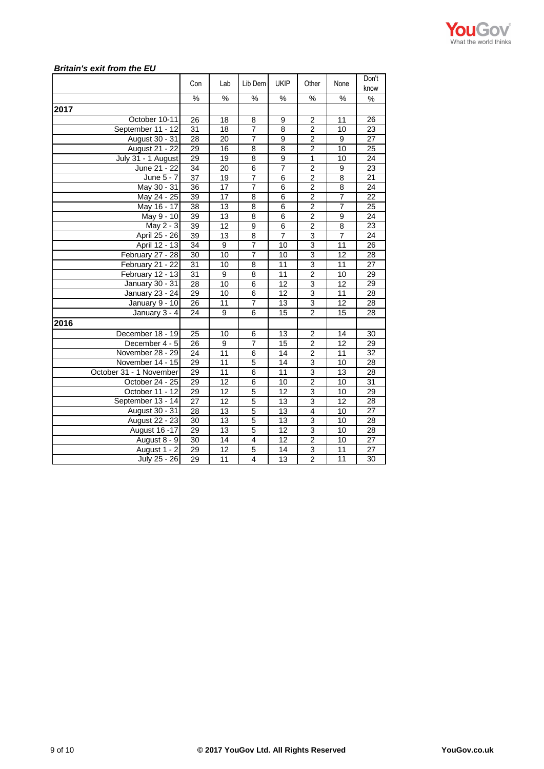

## *Britain's exit from the EU*

|                         | Con             | Lab             | Lib Dem        | <b>UKIP</b>     | Other                   | None           | Don't<br>know   |
|-------------------------|-----------------|-----------------|----------------|-----------------|-------------------------|----------------|-----------------|
|                         | %               | %               | %              | %               | %                       | %              | $\%$            |
| 2017                    |                 |                 |                |                 |                         |                |                 |
| October 10-11           | 26              | 18              | 8              | 9               | 2                       | 11             | 26              |
| September 11 - 12       | $\overline{31}$ | 18              | 7              | $\overline{8}$  | $\overline{2}$          | 10             | $\overline{23}$ |
| August 30 - 31          | 28              | 20              | $\overline{7}$ | 9               | $\overline{\mathbf{c}}$ | 9              | $\overline{27}$ |
| August 21 - 22          | 29              | 16              | 8              | $\overline{8}$  | $\overline{2}$          | 10             | $\overline{25}$ |
| July 31 - 1 August      | $\overline{29}$ | 19              | 8              | 9               | $\overline{1}$          | 10             | 24              |
| June 21 - 22            | 34              | 20              | 6              | $\overline{7}$  | $\overline{\mathbf{c}}$ | 9              | 23              |
| $\overline{June 5}$ - 7 | 37              | 19              | 7              | 6               | $\overline{2}$          | 8              | $\overline{21}$ |
| May 30 - 31             | 36              | 17              | 7              | 6               | $\overline{2}$          | 8              | 24              |
| May 24 - 25             | 39              | 17              | $\overline{8}$ | $\overline{6}$  | $\overline{2}$          | 7              | 22              |
| May 16 - 17             | 38              | 13              | $\overline{8}$ | $\overline{6}$  | $\overline{2}$          | $\overline{7}$ | 25              |
| May 9 - 10              | 39              | 13              | 8              | 6               | $\overline{2}$          | 9              | 24              |
| $\overline{May}$ 2 - 3  | 39              | 12              | 9              | 6               | 2                       | 8              | 23              |
| April 25 - 26           | 39              | 13              | 8              | $\overline{7}$  | $\overline{3}$          | $\overline{7}$ | $\overline{24}$ |
| April 12 - 13           | 34              | 9               | $\overline{7}$ | 10              | 3                       | 11             | 26              |
| February 27 - 28        | 30              | 10              | $\overline{7}$ | 10              | 3                       | 12             | 28              |
| February 21 - 22        | 31              | 10              | $\overline{8}$ | 11              | $\overline{3}$          | 11             | $\overline{27}$ |
| February 12 - 13        | $\overline{31}$ | 9               | 8              | 11              | $\overline{2}$          | 10             | $\overline{29}$ |
| January 30 - 31         | 28              | 10              | 6              | 12              | 3                       | 12             | 29              |
| January 23 - 24         | 29              | 10              | 6              | 12              | 3                       | 11             | 28              |
| January 9 - 10          | 26              | 11              | $\overline{7}$ | 13              | 3                       | 12             | 28              |
| January 3 - 4           | 24              | 9               | $\overline{6}$ | $\overline{15}$ | $\overline{2}$          | 15             | 28              |
| 2016                    |                 |                 |                |                 |                         |                |                 |
| December 18 - 19        | 25              | 10              | 6              | 13              | 2                       | 14             | 30              |
| December 4 - 5          | 26              | 9               | $\overline{7}$ | $\overline{15}$ | $\overline{2}$          | 12             | 29              |
| November 28 - 29        | 24              | 11              | 6              | 14              | $\overline{\mathbf{c}}$ | 11             | 32              |
| November 14 - 15        | 29              | 11              | $\overline{5}$ | 14              | $\overline{3}$          | 10             | 28              |
| October 31 - 1 November | 29              | 11              | 6              | 11              | $\overline{3}$          | 13             | 28              |
| October 24 - 25         | 29              | 12              | $\overline{6}$ | 10              | $\overline{2}$          | 10             | 31              |
| October 11 - 12         | 29              | 12              | 5              | 12              | 3                       | 10             | 29              |
| September 13 - 14       | 27              | 12              | $\overline{5}$ | 13              | $\overline{3}$          | 12             | 28              |
| August 30 - 31          | $\overline{28}$ | 13              | $\overline{5}$ | 13              | 4                       | 10             | 27              |
| <b>August 22 - 23</b>   | 30              | 13              | 5              | 13              | $\overline{3}$          | 10             | 28              |
| August 16 - 17          | 29              | 13              | 5              | 12              | 3                       | 10             | 28              |
| August 8 - 9            | $\overline{30}$ | 14              | $\overline{4}$ | 12              | $\overline{\mathbf{c}}$ | 10             | 27              |
| August 1 - 2            | 29              | $\overline{12}$ | 5              | 14              | 3                       | 11             | 27              |
| July 25 - 26            | 29              | 11              | 4              | 13              | $\overline{2}$          | 11             | 30              |